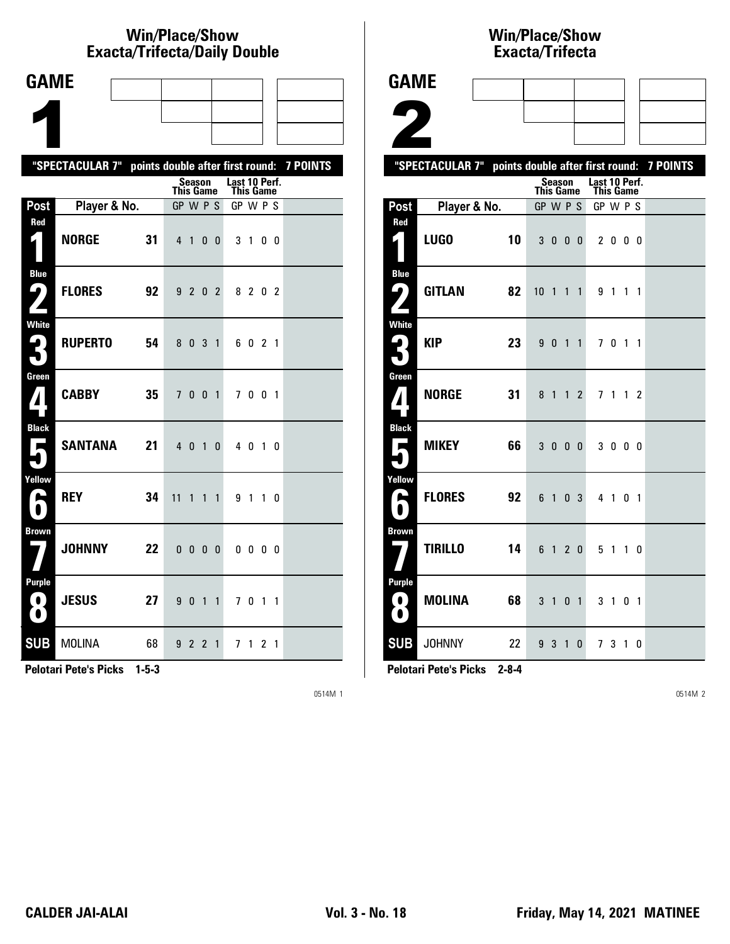# **Win/Place/Show Exacta/Trifecta/Daily Double**

| <b>GAME</b>                                                                   |                                                           |    |           |              |                |                |                            |              |                |                |  |
|-------------------------------------------------------------------------------|-----------------------------------------------------------|----|-----------|--------------|----------------|----------------|----------------------------|--------------|----------------|----------------|--|
|                                                                               |                                                           |    |           |              |                |                |                            |              |                |                |  |
|                                                                               |                                                           |    |           |              |                |                |                            |              |                |                |  |
|                                                                               | "SPECTACULAR 7" points double after first round: 7 POINTS |    |           |              |                |                |                            |              |                |                |  |
|                                                                               |                                                           |    | This Game | Season       |                |                | Last 10 Perf.<br>This Game |              |                |                |  |
| Post                                                                          | Player & No.                                              |    | GP W P S  |              |                |                | GP W P S                   |              |                |                |  |
| Red<br>$\mathbf{r}$ )                                                         | <b>NORGE</b>                                              | 31 |           | 4 1          | 0 <sub>0</sub> |                |                            | 3 1 0 0      |                |                |  |
| <b>Blue</b><br>ر ما                                                           | <b>FLORES</b>                                             | 92 | 9         | 2            |                | 0 <sub>2</sub> |                            | 8 2 0 2      |                |                |  |
| <b>White</b><br>2<br>L                                                        | <b>RUPERTO</b>                                            | 54 | 8         | $\mathbf{0}$ | 3              | $\mathbf{1}$   |                            | 6021         |                |                |  |
| Green                                                                         | <b>CABBY</b>                                              | 35 |           | 7 0 0 1      |                |                |                            | 7001         |                |                |  |
| <b>Black</b><br>$\mathbf{r}$                                                  | SANTANA                                                   | 21 | $4\quad0$ |              |                | $1\quad0$      |                            | 4 0 1 0      |                |                |  |
| Yellow<br>h                                                                   | <b>REY</b>                                                | 34 | 11        | 1            | 1              | $\mathbf{1}$   | 9                          | 1 1 0        |                |                |  |
| <b>Brown</b>                                                                  | <b>JOHNNY</b>                                             | 22 | 0         | 0            | 0 <sub>0</sub> |                |                            | $0\,0\,0\,0$ |                |                |  |
| <b>Purple</b><br>$\left( \begin{array}{c} 0 \end{array} \right)$<br>$\bullet$ | <b>JESUS</b>                                              | 27 | 9         | 0            | $1\quad1$      |                |                            | 701          |                | $\overline{1}$ |  |
| <b>SUB</b>                                                                    | <b>MOLINA</b>                                             | 68 |           | 922          |                | $\mathbf{1}$   |                            | 71           | 2 <sub>1</sub> |                |  |

**Pelotari Pete's Picks 1-5-3**

0514M 1

### **Win/Place/Show Exacta/Tri fecta**

| <b>GAME</b>                                   |                                                           |                                   |                |                            |                |  |
|-----------------------------------------------|-----------------------------------------------------------|-----------------------------------|----------------|----------------------------|----------------|--|
|                                               |                                                           |                                   |                |                            |                |  |
| Ł                                             |                                                           |                                   |                |                            |                |  |
|                                               | "SPECTACULAR 7" points double after first round: 7 POINTS |                                   |                |                            |                |  |
|                                               |                                                           | <b>Season</b><br><b>This Game</b> |                | Last 10 Perf.<br>This Game |                |  |
| Post                                          | Player & No.                                              | GP W P S                          |                | GP W P S                   |                |  |
| Red<br>1                                      | LUGO<br>10                                                | 3 0 0 0                           |                | 2000                       |                |  |
| <b>Blue</b><br>$\mathbf{\mathsf{G}}_{j}$      | <b>GITLAN</b><br>82                                       | $10 \t1 \t1 \t1$                  |                | 9 1 1 1                    |                |  |
| <b>White</b>                                  | <b>KIP</b><br>23                                          | 9 0 1 1                           |                | 7 0 1 1                    |                |  |
| Green<br>$\boldsymbol{\varLambda}$            | <b>NORGE</b><br>31                                        | 8 1 1 2                           |                | 7 1 1 2                    |                |  |
| <b>Black</b><br>$\overline{\phantom{a}}$<br>۸ | MIKEY<br>66                                               | 3000                              |                | 3 0 0 0                    |                |  |
| Yellow<br>E<br>$\bullet$                      | <b>FLORES</b><br>92                                       | 6 1 0 3                           |                | 4 1 0 1                    |                |  |
| <b>Brown</b>                                  | <b>TIRILLO</b><br>14                                      | 6 1 2 0                           |                | 5 1 1 0                    |                |  |
| <b>Purple</b><br>$\blacksquare$<br>0          | <b>MOLINA</b><br>68                                       | $3 \quad 1$                       | 0 <sub>1</sub> | $3 \quad 1$                | 0 <sub>1</sub> |  |
| <b>SUB</b>                                    | <b>JOHNNY</b><br>22                                       | 9 3 1 0                           |                | 7 3 1 0                    |                |  |

**Pelotari Pete's Picks 2-8-4**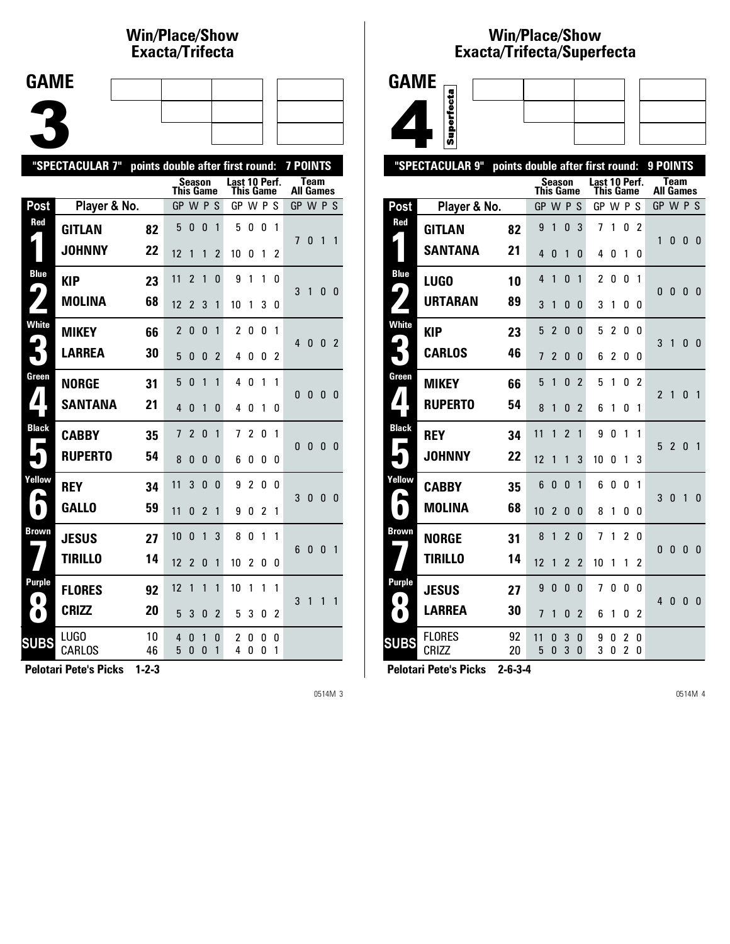### **Win/Place/Show Exacta/Tri fecta**

| <b>GAME</b> |  |  |  |
|-------------|--|--|--|
|             |  |  |  |
|             |  |  |  |
|             |  |  |  |
|             |  |  |  |

|                            | "SPECTACULAR 7" | points double after first round: |                  |                |                |                |                                   |                |                |        | 7 POINTS         |              |              |                |
|----------------------------|-----------------|----------------------------------|------------------|----------------|----------------|----------------|-----------------------------------|----------------|----------------|--------|------------------|--------------|--------------|----------------|
|                            |                 |                                  | <b>This Game</b> | Season         |                |                | Last 10 Perf.<br><b>This Game</b> |                |                |        | <b>All Games</b> | <b>Team</b>  |              |                |
| Post                       | Player & No.    |                                  | GP W P S         |                |                |                | GP W P S                          |                |                |        | GP W P S         |              |              |                |
| Red                        | <b>GITLAN</b>   | 82                               | 5                | 0              | 0              | 1              | 5                                 | 0              | 0              | 1      |                  |              |              | $\mathbf{1}$   |
|                            | <b>JOHNNY</b>   | 22                               | 12               | 1              | 1              | 2              | 10                                | 0              | 1              | 2      | 7                | 0            | 1            |                |
| <b>Blue</b><br>9           | <b>KIP</b>      | 23                               | 11               | $\overline{2}$ | 1              | 0              | 9                                 | 1              | 1              | 0      | 3                | $\mathbf{1}$ | 0            |                |
|                            | <b>MOLINA</b>   | 68                               | 12               | $\overline{2}$ | 3              | 1              | 10                                | 1              | 3              | 0      |                  |              |              | - 0            |
| <b>White</b>               | <b>MIKEY</b>    | 66                               | $\overline{c}$   | 0              | 0              | 1              | 2                                 | 0              | 0              | 1      | $\overline{4}$   | 0            | 0            | - 2            |
|                            | <b>LARREA</b>   | 30                               | 5                | 0              | 0              | $\mathfrak{p}$ | 4                                 | 0              | 0              | 2      |                  |              |              |                |
| Green                      | <b>NORGE</b>    | 31                               | 5                | $\Omega$       | $\mathbf{1}$   | 1              | 4                                 | 0              | $\mathbf{1}$   | 1      | $\mathbf{0}$     | 0            | $\mathbf{0}$ | - 0            |
| ◢                          | <b>SANTANA</b>  | 21                               | 4                | 0              | 1              | 0              | 4                                 | 0              | 1              | 0      |                  |              |              |                |
| <b>Black</b><br>Е          | <b>CABBY</b>    | 35                               | 7                | 2              | $\mathbf{0}$   | 1              | 7                                 | $\overline{c}$ | 0              | 1      | $\Omega$         | 0            | $\mathbf{0}$ | - 0            |
|                            | <b>RUPERTO</b>  | 54                               | 8                | 0              | 0              | 0              | 6                                 | 0              | 0              | 0      |                  |              |              |                |
| Yellow<br>L                | <b>REY</b>      | 34                               | 11               | 3              | 0              | 0              | 9                                 | $\overline{c}$ | 0              | 0      | 3                | 0            | 0            | 0              |
| $\bullet$                  | <b>GALLO</b>    | 59                               | 11               | 0              | $\overline{2}$ | 1              | 9                                 | 0              | $\overline{c}$ | 1      |                  |              |              |                |
| <b>Brown</b>               | <b>JESUS</b>    | 27                               | 10               | 0              | 1              | 3              | 8                                 | 0              | 1              | 1      | 6                | 0            | $\Omega$     | $\overline{1}$ |
|                            | <b>TIRILLO</b>  | 14                               | 12               | $\overline{2}$ | $\mathbf{0}$   | $\mathbf{1}$   | 10                                | $\overline{c}$ | 0              | 0      |                  |              |              |                |
| <b>Purple</b><br>$\bullet$ | <b>FLORES</b>   | 92                               | 12               | 1              | $\mathbf{1}$   | 1              | 10                                | 1              | 1              | 1      | 3                | 1            | 1            | 1              |
| $\bullet$                  | <b>CRIZZ</b>    | 20                               | 5                | 3              | 0              | 2              | 5                                 | 3              | 0              | 2      |                  |              |              |                |
| <b>SUBS</b>                | LUGO<br>CARLOS  | 10<br>46                         | 4<br>5           | 0<br>0         | 1<br>0         | 0<br>1         | 2<br>4                            | 0<br>0         | 0<br>0         | 0<br>1 |                  |              |              |                |

**Pelotari Pete's Picks 1-2-3**

0514M 3

## **Win/Place/Show Exacta/Tri fecta/Super fecta**



|                          | "SPECTACULAR 9"        | points double after first round: |                  |                          |                          |                          |               |                  |                                  |                | 9 POINTS                 |                          |              |              |
|--------------------------|------------------------|----------------------------------|------------------|--------------------------|--------------------------|--------------------------|---------------|------------------|----------------------------------|----------------|--------------------------|--------------------------|--------------|--------------|
|                          |                        |                                  | <b>This Game</b> |                          | Season                   |                          | Last 10 Perf. | <b>This Game</b> |                                  |                |                          | Team<br><b>All Games</b> |              |              |
| Post                     | Player & No.           |                                  | GP W P S         |                          |                          |                          | GP W P S      |                  |                                  |                | GP W P S                 |                          |              |              |
| Red                      | <b>GITLAN</b>          | 82                               | 9                | 1                        | $\Omega$                 | 3                        | 7             | 1                | 0                                | 2              |                          |                          |              |              |
|                          | <b>SANTANA</b>         | 21                               | 4                | 0                        | 1                        | 0                        | 4             | 0                | 1                                | 0              | 1                        | 0                        | 0            | 0            |
| <b>Blue</b><br>4         | LUG0                   | 10                               | 4                | 1                        | $\Omega$                 | 1                        | 2             | 0                | 0                                | 1              |                          |                          | $\mathbf{0}$ |              |
|                          | <b>URTARAN</b>         | 89                               | 3                | 1                        | 0                        | 0                        | 3             | 1                | 0                                | 0              | 0                        | 0                        |              | 0            |
| <b>White</b>             | <b>KIP</b>             | 23                               | 5                | $\overline{2}$           | 0                        | $\mathbf{0}$             | 5             | 2                | 0                                | 0              | 3                        | 1                        | 0            | - 0          |
|                          | <b>CARLOS</b>          | 46                               | 7                | $\overline{2}$           | 0                        | 0                        | 6             | 2                | 0                                | 0              |                          |                          |              |              |
| Green                    | <b>MIKEY</b>           | 66                               | 5                | 1                        | $\mathbf{0}$             | $\overline{\mathcal{L}}$ | 5             | 1                | 0                                | $\mathfrak{p}$ | $\overline{\phantom{a}}$ | 1                        | 0            | 1            |
| $\blacktriangle$         | <b>RUPERTO</b>         | 54                               | 8                | 1                        | $\Omega$                 | $\overline{2}$           | 6             | 1                | 0                                | 1              |                          |                          |              |              |
| <b>Black</b><br><b>I</b> | <b>REY</b>             | 34                               | 11               | 1                        | $\overline{\mathcal{L}}$ | 1                        | 9             | 0                | 1                                | 1              | 5                        | $\overline{2}$           | $\mathbf{0}$ | 1            |
|                          | <b>JOHNNY</b>          | 22                               | 12               | 1                        | 1                        | 3                        | 10            | 0                | 1                                | 3              |                          |                          |              |              |
| Yellow<br>r.             | <b>CABBY</b>           | 35                               | 6                | 0                        | 0                        | 1                        | 6             | 0                | 0                                | 1              | 3                        | $\mathbf{0}$             | 1            | 0            |
|                          | <b>MOLINA</b>          | 68                               | 10               | $\overline{\mathcal{C}}$ | $\Omega$                 | $\mathbf{0}$             | 8             | 1                | 0                                | 0              |                          |                          |              |              |
| Brown                    | <b>NORGE</b>           | 31                               | 8                | 1                        | $\overline{2}$           | $\mathbf{0}$             | 7             | 1                | $\overline{2}$                   | 0              |                          | 0                        | 0            | 0            |
|                          | <b>TIRILLO</b>         | 14                               | 12               | 1                        | $\overline{2}$           | $\overline{2}$           | 10            | 1                | 1                                | 2              | 0                        |                          |              |              |
| Purple                   | <b>JESUS</b>           | 27                               | 9                | 0                        | 0                        | $\mathbf{0}$             | 7             | 0                | 0                                | 0              | 4                        | 0                        | 0            |              |
| $\bullet$                | <b>LARREA</b>          | 30                               | 7                | 1                        | 0                        | $\overline{2}$           | 6             | 1                | 0                                | $\overline{2}$ |                          |                          |              | $\mathbf{0}$ |
| <b>SUBS</b>              | <b>FLORES</b><br>CRIZZ | 92<br>20                         | 11<br>5          | 0<br>0                   | 3<br>3                   | 0<br>$\mathbf{0}$        | 9<br>3        | 0<br>0           | $\overline{c}$<br>$\overline{c}$ | 0<br>0         |                          |                          |              |              |
|                          |                        |                                  |                  |                          |                          |                          |               |                  |                                  |                |                          |                          |              |              |

**Pelotari Pete's Picks 2-6-3-4**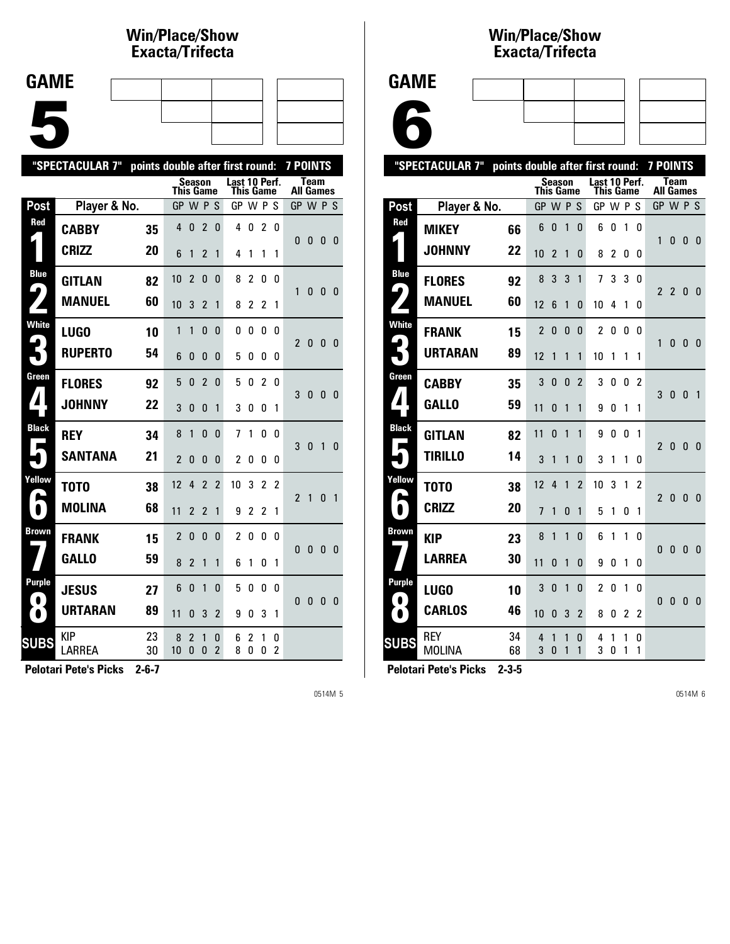### **Win/Place/Show Exacta/Tri fecta**

| <b>GAME</b> |  |  |  |
|-------------|--|--|--|
|             |  |  |  |
|             |  |  |  |
|             |  |  |  |
|             |  |  |  |
|             |  |  |  |
|             |  |  |  |
|             |  |  |  |

|                            | "SPECTACULAR 7"      | points double after first round: |                  |                |                  |                     |                            |                     |                |        | <b>7 POINTS</b>  |              |              |              |
|----------------------------|----------------------|----------------------------------|------------------|----------------|------------------|---------------------|----------------------------|---------------------|----------------|--------|------------------|--------------|--------------|--------------|
|                            |                      |                                  | <b>This Game</b> |                | <b>Season</b>    |                     | Last 10 Perf.<br>This Game |                     |                |        | <b>All Games</b> | <b>Team</b>  |              |              |
| Post                       | Player & No.         |                                  | GP               |                | W P              | S                   | GP W P S                   |                     |                |        | GP W P S         |              |              |              |
| Red                        | <b>CABBY</b>         | 35                               | 4                | $\Omega$       | $\overline{2}$   | 0                   | 4                          | 0                   | 2              | 0      | 0                | 0            | 0            | - 0          |
|                            | <b>CRIZZ</b>         | 20                               | 6                | 1              | $\overline{2}$   | 1                   | 4                          | 1                   | 1              | 1      |                  |              |              |              |
| <b>Blue</b><br>9           | <b>GITLAN</b>        | 82                               | 10               | 2              | $\mathbf{0}$     | $\mathbf{0}$        | 8                          | $\overline{2}$      | 0              | 0      | 1                | 0            | 0            | - 0          |
|                            | <b>MANUEL</b>        | 60                               | 10               | 3              | $\overline{2}$   | 1                   | 8                          | $\overline{2}$      | 2              | 1      |                  |              |              |              |
| <b>White</b>               | <b>LUGO</b>          | 10                               | 1                | 1              | 0                | 0                   | 0                          | 0                   | 0              | 0      | $\overline{2}$   | 0            | 0            | - 0          |
|                            | <b>RUPERTO</b>       | 54                               | 6                | 0              | 0                | 0                   | 5                          | 0                   | 0              | 0      |                  |              |              |              |
| Green                      | <b>FLORES</b>        | 92                               | 5                | 0              | $\overline{2}$   | 0                   | 5                          | 0                   | $\overline{2}$ | 0      | 3                | $\mathbf{0}$ | 0            | - 0          |
| 4                          | <b>JOHNNY</b>        | 22                               | 3                | $\Omega$       | 0                | 1                   | 3                          | 0                   | 0              | 1      |                  |              |              |              |
| <b>Black</b><br>Е          | <b>REY</b>           | 34                               | 8                | 1              | $\Omega$         | $\Omega$            | 7                          | 1                   | 0              | U      | 3                | $\mathbf{0}$ | $\mathbf{1}$ | $\mathbf{0}$ |
|                            | <b>SANTANA</b>       | 21                               | $\overline{2}$   | $\Omega$       | $\Omega$         | 0                   | $\overline{2}$             | 0                   | 0              | 0      |                  |              |              |              |
| Yellow<br>Ø,               | T0T0                 | 38                               | 12               | 4              | 2                | 2                   | 10                         | 3                   | 2              | 2      | $\overline{2}$   | $\mathbf{1}$ | 0            | $\mathbf{1}$ |
| $\bullet$                  | <b>MOLINA</b>        | 68                               | 11               | $\overline{2}$ | $\overline{2}$   | 1                   | 9                          | $\overline{c}$      | 2              | 1      |                  |              |              |              |
| Brown                      | <b>FRANK</b>         | 15                               | $\overline{c}$   | 0              | 0                | 0                   | 2                          | 0                   | 0              | 0      | 0                | 0            | 0            | 0            |
|                            | <b>GALLO</b>         | 59                               | 8                | $\overline{2}$ | 1                | 1                   | 6                          | 1                   | 0              | 1      |                  |              |              |              |
| <b>Purple</b><br>$\bullet$ | <b>JESUS</b>         | 27                               | 6                | 0              | 1                | 0                   | 5                          | 0                   | 0              | 0      | 0                | 0            | 0            | 0            |
| $\bullet$                  | <b>URTARAN</b>       | 89                               | 11               | 0              | 3                | $\overline{2}$      | 9                          | 0                   | 3              | 1      |                  |              |              |              |
| <b>SUBS</b>                | <b>KIP</b><br>LARREA | 23<br>30                         | 8<br>10          | 2<br>0         | 1<br>$\mathbf 0$ | 0<br>$\overline{2}$ | 6<br>8                     | $\overline{2}$<br>0 | 1<br>0         | 0<br>2 |                  |              |              |              |

**Pelotari Pete's Picks 2-6-7**

0514M 5

#### **Win/Place/Show Exacta/Tri fecta**

| <b>GAME</b> |
|-------------|
|-------------|



| "SPECTACULAR 7"   |                             | points double after first round: |                            |                |          |                |                            |        |        | <b>7 POINTS</b> |                          |                |              |                |
|-------------------|-----------------------------|----------------------------------|----------------------------|----------------|----------|----------------|----------------------------|--------|--------|-----------------|--------------------------|----------------|--------------|----------------|
|                   |                             |                                  | Season<br><b>This Game</b> |                |          |                | Last 10 Perf.<br>This Game |        |        |                 | Team<br><b>All Games</b> |                |              |                |
| <b>Post</b>       | Player & No.                |                                  | GP W P S                   |                |          |                | GP WPS                     |        |        |                 | GP W P S                 |                |              |                |
| Red               | <b>MIKEY</b>                | 66                               | 6                          | 0              | 1        | 0              | 6                          | 0      | 1      | 0               | 1                        | 0              | $\mathbf{0}$ | $\Omega$       |
|                   | <b>JOHNNY</b>               | 22                               | 10                         | $\overline{2}$ | 1        | 0              | 8                          | 2      | 0      | 0               |                          |                |              |                |
| <b>Blue</b>       | <b>FLORES</b>               | 92                               | 8                          | 3              | 3        | $\mathbf{1}$   | 7                          | 3      | 3      | 0               | 2                        | $\overline{2}$ | 0            | 0              |
| 4                 | <b>MANUEL</b>               | 60                               | 12                         | 6              | 1        | 0              | 10                         | 4      | 1      | 0               |                          |                |              |                |
| White             | <b>FRANK</b>                | 15                               | 2                          | 0              | 0        | 0              | $\overline{2}$             | 0      | 0      | 0               | 1                        | 0              | 0            | 0              |
|                   | <b>URTARAN</b>              | 89                               | 12                         | 1              | 1        | 1              | 10                         | 1      | 1      | 1               |                          |                |              |                |
| Green             | <b>CABBY</b>                | 35                               | 3                          | $\Omega$       | $\Omega$ | $\overline{2}$ | 3                          | 0      | 0      | $\overline{2}$  | 3                        | 0              | 0            | $\overline{1}$ |
| 7                 | <b>GALLO</b>                | 59                               | 11                         | 0              | 1        | 1              | 9                          | 0      | 1      | 1               |                          |                |              |                |
| <b>Black</b><br>■ | <b>GITLAN</b>               | 82                               | 11                         | 0              | 1        | 1              | 9                          | 0      | 0      | 1               | $\overline{2}$           | 0              | $\mathbf{0}$ | $\mathbf{0}$   |
|                   | <b>TIRILLO</b>              | 14                               | 3                          | 1              | 1        | $\Omega$       | 3                          | 1      | 1      | 0               |                          |                |              |                |
| Yellow            | T0T0                        | 38                               | 12                         | 4              | 1        | $\overline{2}$ | 10                         | 3      | 1      | 2               | $\mathfrak{p}$           | 0              | $\mathbf{0}$ | $\mathbf{0}$   |
|                   | <b>CRIZZ</b>                | 20                               | 7                          | 1              | $\Omega$ | 1              | 5                          | 1      | 0      | 1               |                          |                |              |                |
| Brown             | <b>KIP</b>                  | 23                               | 8                          | 1              | 1        | $\Omega$       | 6                          | 1      | 1      | 0               | 0                        | 0              | 0            | $\mathbf{0}$   |
|                   | <b>LARREA</b>               | 30                               | 11                         | 0              | 1        | 0              | 9                          | 0      | 1      | 0               |                          |                |              |                |
| <b>Purple</b>     | <b>LUGO</b>                 | 10                               | 3                          | 0              | 1        | 0              | 2                          | 0      | 1      | 0               | $\mathbf{0}$             | $\bf{0}$       | $\mathbf{0}$ | $\mathbf{0}$   |
| $\bullet$         | <b>CARLOS</b>               | 46                               | 10                         | 0              | 3        | $\overline{2}$ | 8                          | 0      | 2      | $\overline{c}$  |                          |                |              |                |
| <b>SUBS</b>       | <b>REY</b><br><b>MOLINA</b> | 34<br>68                         | 4<br>3                     | 1<br>0         | 1<br>1   | 0<br>1         | 4<br>3                     | 1<br>0 | 1<br>1 | 0<br>1          |                          |                |              |                |
|                   |                             |                                  |                            |                |          |                |                            |        |        |                 |                          |                |              |                |

**Pelotari Pete's Picks 2-3-5**